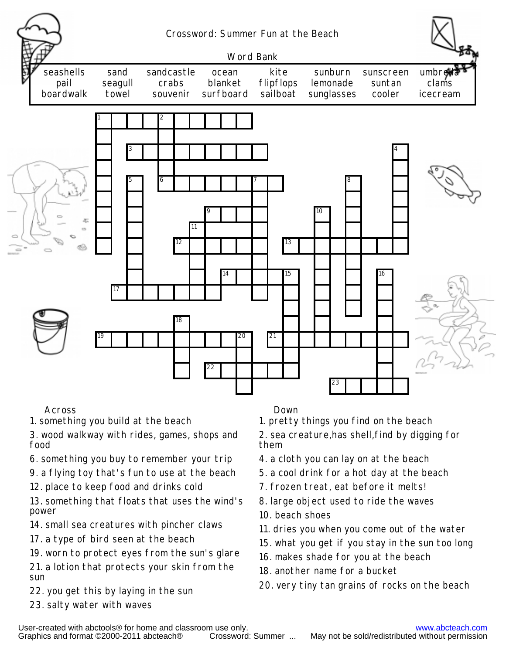

## Across Down

1. something you build at the beach

3. wood walkway with rides, games, shops and food

- 6. something you buy to remember your trip
- 9. <sup>a</sup> flying toy that's fun to use at the beach
- 12. place to keep food and drinks cold

13. something that floats that uses the wind's power

- 14. small sea creatures with pincher claws
- 17. <sup>a</sup> type of bird seen at the beach
- 19. worn to protect eyes from the sun's glare

21. <sup>a</sup> lotion that protects your skin from the sun

- 22. you get this by laying in the sun
- 23. salty water with waves

1. pretty things you find on the beach

2. sea creature,has shell,find by digging for them

- 4. <sup>a</sup> cloth you can lay on at the beach
- 5. <sup>a</sup> cool drink for <sup>a</sup> hot day at the beach
- 7. frozen treat, eat before it melts!
- 8. large object used to ride the waves 10. beach shoes
- 11. dries you when you come out of the water
- 15. what you get if you stay in the sun too long
- 16. makes shade for you at the beach
- 18. another name for a bucket
- 20. very tiny tan grains of rocks on the beach